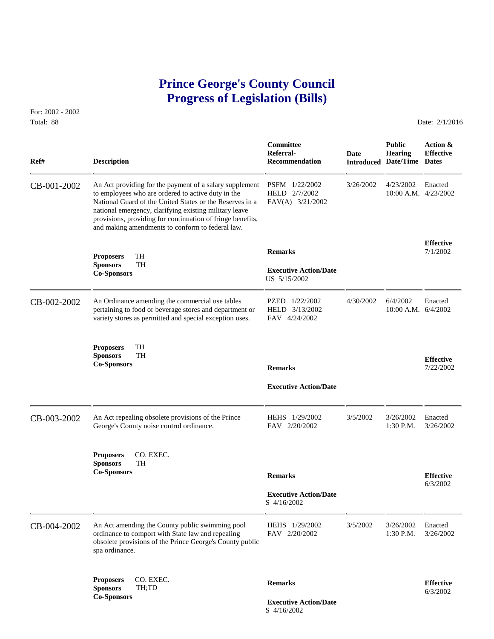# **Prince George's County Council Progress of Legislation (Bills)**

For: 2002 - 2002 Total: 88 Date: 2/1/2016

| Ref#        | <b>Description</b>                                                                                                                                                                                                                                                                                                                                    | Committee<br>Referral-<br><b>Recommendation</b>     | <b>Date</b> | <b>Public</b><br><b>Hearing</b><br><b>Introduced Date/Time Dates</b> | Action &<br><b>Effective</b>  |
|-------------|-------------------------------------------------------------------------------------------------------------------------------------------------------------------------------------------------------------------------------------------------------------------------------------------------------------------------------------------------------|-----------------------------------------------------|-------------|----------------------------------------------------------------------|-------------------------------|
| CB-001-2002 | An Act providing for the payment of a salary supplement<br>to employees who are ordered to active duty in the<br>National Guard of the United States or the Reserves in a<br>national emergency, clarifying existing military leave<br>provisions, providing for continuation of fringe benefits,<br>and making amendments to conform to federal law. | PSFM 1/22/2002<br>HELD 2/7/2002<br>FAV(A) 3/21/2002 | 3/26/2002   | 4/23/2002<br>10:00 A.M. 4/23/2002                                    | Enacted                       |
|             |                                                                                                                                                                                                                                                                                                                                                       | <b>Remarks</b>                                      |             |                                                                      | <b>Effective</b><br>7/1/2002  |
|             | TH<br><b>Proposers</b><br><b>Sponsors</b><br><b>TH</b><br><b>Co-Sponsors</b>                                                                                                                                                                                                                                                                          | <b>Executive Action/Date</b><br>US 5/15/2002        |             |                                                                      |                               |
| CB-002-2002 | An Ordinance amending the commercial use tables<br>pertaining to food or beverage stores and department or<br>variety stores as permitted and special exception uses.                                                                                                                                                                                 | PZED 1/22/2002<br>HELD 3/13/2002<br>FAV 4/24/2002   | 4/30/2002   | 6/4/2002<br>$10:00$ A.M. $6/4/2002$                                  | Enacted                       |
|             | TH<br><b>Proposers</b><br>TH<br><b>Sponsors</b><br><b>Co-Sponsors</b>                                                                                                                                                                                                                                                                                 | <b>Remarks</b>                                      |             |                                                                      | <b>Effective</b><br>7/22/2002 |
|             |                                                                                                                                                                                                                                                                                                                                                       | <b>Executive Action/Date</b>                        |             |                                                                      |                               |
| CB-003-2002 | An Act repealing obsolete provisions of the Prince<br>George's County noise control ordinance.                                                                                                                                                                                                                                                        | HEHS 1/29/2002<br>FAV 2/20/2002                     | 3/5/2002    | 3/26/2002<br>$1:30$ P.M.                                             | Enacted<br>3/26/2002          |
|             | CO. EXEC.<br><b>Proposers</b><br><b>Sponsors</b><br>TH                                                                                                                                                                                                                                                                                                |                                                     |             |                                                                      |                               |
|             | <b>Co-Sponsors</b>                                                                                                                                                                                                                                                                                                                                    | <b>Remarks</b>                                      |             |                                                                      | <b>Effective</b><br>6/3/2002  |
|             |                                                                                                                                                                                                                                                                                                                                                       | <b>Executive Action/Date</b><br>S 4/16/2002         |             |                                                                      |                               |
| CB-004-2002 | An Act amending the County public swimming pool<br>ordinance to comport with State law and repealing<br>obsolete provisions of the Prince George's County public<br>spa ordinance.                                                                                                                                                                    | HEHS 1/29/2002<br>FAV 2/20/2002                     | 3/5/2002    | 3/26/2002<br>1:30 P.M.                                               | Enacted<br>3/26/2002          |
|             | CO. EXEC.<br><b>Proposers</b><br><b>Sponsors</b><br>TH;TD                                                                                                                                                                                                                                                                                             | <b>Remarks</b>                                      |             |                                                                      | <b>Effective</b><br>6/3/2002  |
|             | <b>Co-Sponsors</b>                                                                                                                                                                                                                                                                                                                                    | <b>Executive Action/Date</b>                        |             |                                                                      |                               |

S 4/16/2002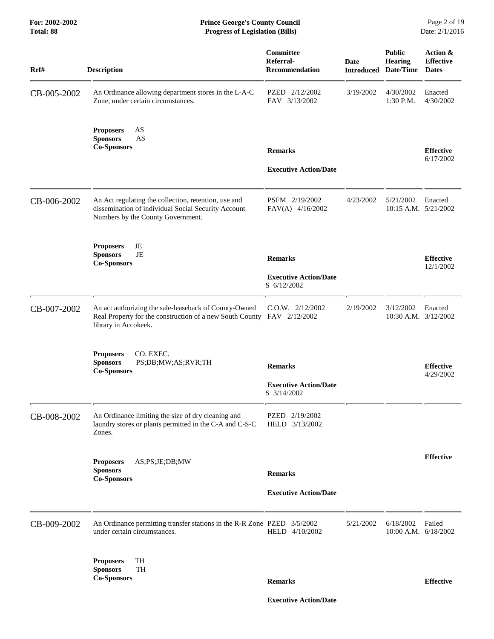| Ref#        | <b>Description</b>                                                                                                                                      | Committee<br>Referral-<br><b>Recommendation</b> | <b>Date</b> | <b>Public</b><br>Hearing<br><b>Introduced Date/Time</b> | Action &<br><b>Effective</b><br><b>Dates</b> |
|-------------|---------------------------------------------------------------------------------------------------------------------------------------------------------|-------------------------------------------------|-------------|---------------------------------------------------------|----------------------------------------------|
| CB-005-2002 | An Ordinance allowing department stores in the L-A-C<br>Zone, under certain circumstances.                                                              | PZED 2/12/2002<br>FAV 3/13/2002                 | 3/19/2002   | 4/30/2002<br>$1:30$ P.M.                                | Enacted<br>4/30/2002                         |
|             | AS<br><b>Proposers</b><br><b>Sponsors</b><br>AS<br><b>Co-Sponsors</b>                                                                                   | <b>Remarks</b>                                  |             |                                                         | <b>Effective</b><br>6/17/2002                |
|             |                                                                                                                                                         | <b>Executive Action/Date</b>                    |             |                                                         |                                              |
| CB-006-2002 | An Act regulating the collection, retention, use and<br>dissemination of individual Social Security Account<br>Numbers by the County Government.        | PSFM 2/19/2002<br>FAV(A) 4/16/2002              | 4/23/2002   | 5/21/2002<br>10:15 A.M. 5/21/2002                       | Enacted                                      |
|             | JE<br><b>Proposers</b><br><b>Sponsors</b><br>JE<br><b>Co-Sponsors</b>                                                                                   | <b>Remarks</b>                                  |             |                                                         | <b>Effective</b><br>12/1/2002                |
|             |                                                                                                                                                         | <b>Executive Action/Date</b><br>S 6/12/2002     |             |                                                         |                                              |
| CB-007-2002 | An act authorizing the sale-leaseback of County-Owned<br>Real Property for the construction of a new South County FAV 2/12/2002<br>library in Accokeek. | $C.0.W.$ $2/12/2002$                            | 2/19/2002   | 3/12/2002<br>10:30 A.M. 3/12/2002                       | Enacted                                      |
|             | <b>Proposers</b><br>CO. EXEC.<br><b>Sponsors</b><br>PS;DB;MW;AS;RVR;TH<br><b>Co-Sponsors</b>                                                            | <b>Remarks</b>                                  |             |                                                         | <b>Effective</b><br>4/29/2002                |
|             |                                                                                                                                                         | <b>Executive Action/Date</b><br>S 3/14/2002     |             |                                                         |                                              |
| CB-008-2002 | An Ordinance limiting the size of dry cleaning and<br>laundry stores or plants permitted in the C-A and C-S-C<br>Zones.                                 | PZED 2/19/2002<br>HELD 3/13/2002                |             |                                                         |                                              |
|             | AS;PS;JE;DB;MW<br><b>Proposers</b><br><b>Sponsors</b><br><b>Co-Sponsors</b>                                                                             | <b>Remarks</b>                                  |             |                                                         | <b>Effective</b>                             |
|             |                                                                                                                                                         | <b>Executive Action/Date</b>                    |             |                                                         |                                              |
| CB-009-2002 | An Ordinance permitting transfer stations in the R-R Zone PZED 3/5/2002<br>under certain circumstances.                                                 | HELD 4/10/2002                                  | 5/21/2002   | 6/18/2002<br>10:00 A.M. 6/18/2002                       | Failed                                       |
|             | TH<br><b>Proposers</b><br>TH<br><b>Sponsors</b><br><b>Co-Sponsors</b>                                                                                   | <b>Remarks</b>                                  |             |                                                         | <b>Effective</b>                             |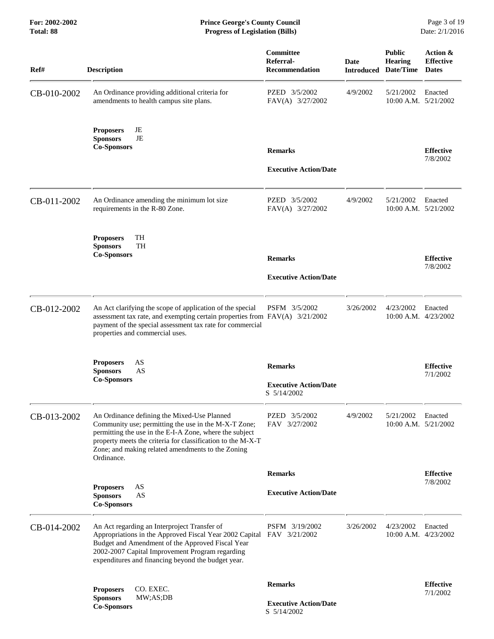| Ref#        | <b>Description</b>                                                                                                                                                                                                                                                                               | Committee<br>Referral-<br><b>Recommendation</b>               | <b>Date</b><br><b>Introduced</b> | <b>Public</b><br><b>Hearing</b><br>Date/Time | Action &<br><b>Effective</b><br><b>Dates</b> |
|-------------|--------------------------------------------------------------------------------------------------------------------------------------------------------------------------------------------------------------------------------------------------------------------------------------------------|---------------------------------------------------------------|----------------------------------|----------------------------------------------|----------------------------------------------|
| CB-010-2002 | An Ordinance providing additional criteria for<br>amendments to health campus site plans.                                                                                                                                                                                                        | PZED 3/5/2002<br>FAV(A) 3/27/2002                             | 4/9/2002                         | 5/21/2002<br>$10:00$ A.M. $5/21/2002$        | Enacted                                      |
|             | JE<br><b>Proposers</b><br>JE<br><b>Sponsors</b><br><b>Co-Sponsors</b>                                                                                                                                                                                                                            | <b>Remarks</b><br><b>Executive Action/Date</b>                |                                  |                                              | <b>Effective</b><br>7/8/2002                 |
| CB-011-2002 | An Ordinance amending the minimum lot size<br>requirements in the R-80 Zone.                                                                                                                                                                                                                     | PZED 3/5/2002<br>FAV(A) 3/27/2002                             | 4/9/2002                         | 5/21/2002<br>10:00 A.M. 5/21/2002            | Enacted                                      |
|             | TH<br><b>Proposers</b><br><b>Sponsors</b><br>TH<br><b>Co-Sponsors</b>                                                                                                                                                                                                                            | <b>Remarks</b><br><b>Executive Action/Date</b>                |                                  |                                              | <b>Effective</b><br>7/8/2002                 |
| CB-012-2002 | An Act clarifying the scope of application of the special<br>assessment tax rate, and exempting certain properties from FAV(A) 3/21/2002<br>payment of the special assessment tax rate for commercial<br>properties and commercial uses.                                                         | PSFM 3/5/2002                                                 | 3/26/2002                        | 4/23/2002<br>$10:00$ A.M. $4/23/2002$        | Enacted                                      |
|             | AS<br><b>Proposers</b><br><b>Sponsors</b><br>AS<br><b>Co-Sponsors</b>                                                                                                                                                                                                                            | <b>Remarks</b><br><b>Executive Action/Date</b><br>S 5/14/2002 |                                  |                                              | <b>Effective</b><br>7/1/2002                 |
| CB-013-2002 | An Ordinance defining the Mixed-Use Planned<br>Community use; permitting the use in the M-X-T Zone;<br>permitting the use in the E-I-A Zone, where the subject<br>property meets the criteria for classification to the M-X-T<br>Zone; and making related amendments to the Zoning<br>Ordinance. | PZED 3/5/2002<br>FAV 3/27/2002                                | 4/9/2002                         | 5/21/2002<br>10:00 A.M. 5/21/2002            | Enacted                                      |
|             |                                                                                                                                                                                                                                                                                                  | <b>Remarks</b>                                                |                                  |                                              | <b>Effective</b>                             |
|             | AS<br><b>Proposers</b><br>AS<br><b>Sponsors</b><br><b>Co-Sponsors</b>                                                                                                                                                                                                                            | <b>Executive Action/Date</b>                                  |                                  |                                              | 7/8/2002                                     |
| CB-014-2002 | An Act regarding an Interproject Transfer of<br>Appropriations in the Approved Fiscal Year 2002 Capital FAV 3/21/2002<br>Budget and Amendment of the Approved Fiscal Year<br>2002-2007 Capital Improvement Program regarding<br>expenditures and financing beyond the budget year.               | PSFM 3/19/2002                                                | 3/26/2002                        | 4/23/2002<br>10:00 A.M. 4/23/2002            | Enacted                                      |
|             | <b>Proposers</b><br>CO. EXEC.<br><b>Sponsors</b><br>MW;AS;DB<br><b>Co-Sponsors</b>                                                                                                                                                                                                               | <b>Remarks</b><br><b>Executive Action/Date</b><br>S 5/14/2002 |                                  |                                              | <b>Effective</b><br>7/1/2002                 |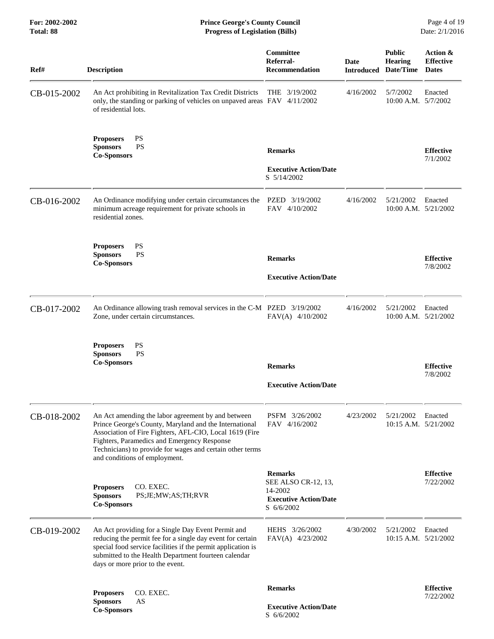**For: 2002-2002 Prince George's County Council** Page 4 of 19<br> **Prince George's County Council** Page 4 of 19<br> **Progress of Legislation (Bills)** Date: 2/1/2016  $Progress$  of Legislation (Bills)

| Ref#        | <b>Description</b>                                                                                                                                                                                                                                                                                                   | Committee<br>Referral-<br><b>Recommendation</b>                                                | Date      | <b>Public</b><br><b>Hearing</b><br><b>Introduced Date/Time</b> | Action &<br><b>Effective</b><br><b>Dates</b> |
|-------------|----------------------------------------------------------------------------------------------------------------------------------------------------------------------------------------------------------------------------------------------------------------------------------------------------------------------|------------------------------------------------------------------------------------------------|-----------|----------------------------------------------------------------|----------------------------------------------|
| CB-015-2002 | An Act prohibiting in Revitalization Tax Credit Districts<br>only, the standing or parking of vehicles on unpaved areas FAV 4/11/2002<br>of residential lots.                                                                                                                                                        | THE $3/19/2002$                                                                                | 4/16/2002 | 5/7/2002<br>10:00 A.M. 5/7/2002                                | Enacted                                      |
|             | <b>PS</b><br><b>Proposers</b><br><b>PS</b><br><b>Sponsors</b><br><b>Co-Sponsors</b>                                                                                                                                                                                                                                  | <b>Remarks</b><br><b>Executive Action/Date</b><br>S 5/14/2002                                  |           |                                                                | <b>Effective</b><br>7/1/2002                 |
| CB-016-2002 | An Ordinance modifying under certain circumstances the<br>minimum acreage requirement for private schools in<br>residential zones.                                                                                                                                                                                   | PZED 3/19/2002<br>FAV 4/10/2002                                                                | 4/16/2002 | 5/21/2002<br>10:00 A.M. 5/21/2002                              | Enacted                                      |
|             | PS<br><b>Proposers</b><br><b>Sponsors</b><br><b>PS</b><br><b>Co-Sponsors</b>                                                                                                                                                                                                                                         | <b>Remarks</b><br><b>Executive Action/Date</b>                                                 |           |                                                                | <b>Effective</b><br>7/8/2002                 |
| CB-017-2002 | An Ordinance allowing trash removal services in the C-M PZED 3/19/2002<br>Zone, under certain circumstances.                                                                                                                                                                                                         | FAV(A) 4/10/2002                                                                               | 4/16/2002 | 5/21/2002<br>10:00 A.M. 5/21/2002                              | Enacted                                      |
|             | <b>PS</b><br><b>Proposers</b><br><b>PS</b><br><b>Sponsors</b><br><b>Co-Sponsors</b>                                                                                                                                                                                                                                  | <b>Remarks</b><br><b>Executive Action/Date</b>                                                 |           |                                                                | <b>Effective</b><br>7/8/2002                 |
| CB-018-2002 | An Act amending the labor agreement by and between<br>Prince George's County, Maryland and the International<br>Association of Fire Fighters, AFL-CIO, Local 1619 (Fire<br>Fighters, Paramedics and Emergency Response<br>Technicians) to provide for wages and certain other terms<br>and conditions of employment. | PSFM 3/26/2002<br>FAV 4/16/2002                                                                | 4/23/2002 | 5/21/2002<br>10:15 A.M. 5/21/2002                              | Enacted                                      |
|             | CO. EXEC.<br><b>Proposers</b><br><b>Sponsors</b><br>PS;JE;MW;AS;TH;RVR<br><b>Co-Sponsors</b>                                                                                                                                                                                                                         | <b>Remarks</b><br>SEE ALSO CR-12, 13,<br>14-2002<br><b>Executive Action/Date</b><br>S 6/6/2002 |           |                                                                | <b>Effective</b><br>7/22/2002                |
| CB-019-2002 | An Act providing for a Single Day Event Permit and<br>reducing the permit fee for a single day event for certain<br>special food service facilities if the permit application is<br>submitted to the Health Department fourteen calendar<br>days or more prior to the event.                                         | HEHS 3/26/2002<br>FAV(A) 4/23/2002                                                             | 4/30/2002 | 5/21/2002<br>10:15 A.M. $5/21/2002$                            | Enacted                                      |
|             | CO. EXEC.<br><b>Proposers</b><br><b>Sponsors</b><br>AS<br><b>Co-Sponsors</b>                                                                                                                                                                                                                                         | <b>Remarks</b><br><b>Executive Action/Date</b><br>S 6/6/2002                                   |           |                                                                | <b>Effective</b><br>7/22/2002                |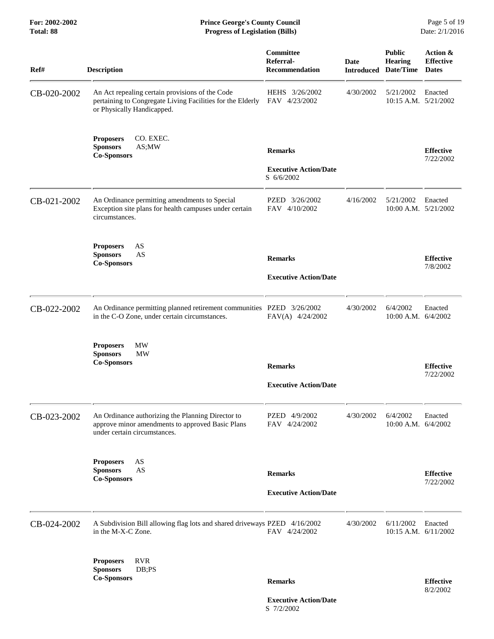| Ref#        | <b>Description</b>                                                                                                                          | Committee<br>Referral-<br><b>Recommendation</b> | <b>Date</b> | <b>Public</b><br>Hearing<br><b>Introduced Date/Time</b> | Action &<br><b>Effective</b><br><b>Dates</b> |
|-------------|---------------------------------------------------------------------------------------------------------------------------------------------|-------------------------------------------------|-------------|---------------------------------------------------------|----------------------------------------------|
| CB-020-2002 | An Act repealing certain provisions of the Code<br>pertaining to Congregate Living Facilities for the Elderly<br>or Physically Handicapped. | HEHS 3/26/2002<br>FAV 4/23/2002                 | 4/30/2002   | 5/21/2002<br>10:15 A.M. 5/21/2002                       | Enacted                                      |
|             | CO. EXEC.<br><b>Proposers</b><br><b>Sponsors</b><br>AS;MW<br><b>Co-Sponsors</b>                                                             | <b>Remarks</b><br><b>Executive Action/Date</b>  |             |                                                         | <b>Effective</b><br>7/22/2002                |
| CB-021-2002 | An Ordinance permitting amendments to Special<br>Exception site plans for health campuses under certain<br>circumstances.                   | S 6/6/2002<br>PZED 3/26/2002<br>FAV 4/10/2002   | 4/16/2002   | 5/21/2002<br>10:00 A.M. 5/21/2002                       | Enacted                                      |
|             | <b>Proposers</b><br>AS<br><b>Sponsors</b><br>AS<br><b>Co-Sponsors</b>                                                                       | <b>Remarks</b><br><b>Executive Action/Date</b>  |             |                                                         | <b>Effective</b><br>7/8/2002                 |
| CB-022-2002 | An Ordinance permitting planned retirement communities PZED 3/26/2002<br>in the C-O Zone, under certain circumstances.                      | FAV(A) 4/24/2002                                | 4/30/2002   | 6/4/2002<br>10:00 A.M. 6/4/2002                         | Enacted                                      |
|             | <b>MW</b><br><b>Proposers</b><br><b>Sponsors</b><br>MW<br><b>Co-Sponsors</b>                                                                | <b>Remarks</b><br><b>Executive Action/Date</b>  |             |                                                         | <b>Effective</b><br>7/22/2002                |
| CB-023-2002 | An Ordinance authorizing the Planning Director to<br>approve minor amendments to approved Basic Plans<br>under certain circumstances.       | PZED 4/9/2002<br>FAV 4/24/2002                  | 4/30/2002   | 6/4/2002<br>10:00 A.M. 6/4/2002                         | Enacted                                      |
|             | AS<br><b>Proposers</b><br><b>Sponsors</b><br>AS<br><b>Co-Sponsors</b>                                                                       | <b>Remarks</b><br><b>Executive Action/Date</b>  |             |                                                         | <b>Effective</b><br>7/22/2002                |
| CB-024-2002 | A Subdivision Bill allowing flag lots and shared driveways PZED 4/16/2002<br>in the M-X-C Zone.                                             | FAV 4/24/2002                                   | 4/30/2002   | 6/11/2002<br>10:15 A.M. 6/11/2002                       | Enacted                                      |
|             | <b>RVR</b><br><b>Proposers</b><br><b>Sponsors</b><br>DB;PS<br><b>Co-Sponsors</b>                                                            | <b>Remarks</b>                                  |             |                                                         | <b>Effective</b><br>8/2/2002                 |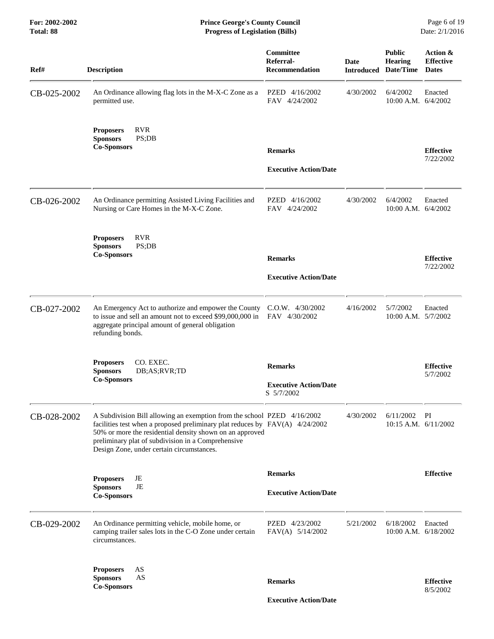**For: 2002-2002 Prince George's County Council** Page 6 of 19<br> **Prince George's County Council** Page 6 of 19<br> **Progress of Legislation (Bills)** Date: 2/1/2016 **Total: 88 Progress of Legislation (Bills)** 

| Ref#        | <b>Description</b>                                                                                                                                                                                                                                                                                                       | Committee<br>Referral-<br><b>Recommendation</b> | <b>Date</b> | <b>Public</b><br><b>Hearing</b><br><b>Introduced Date/Time</b> | Action &<br><b>Effective</b><br><b>Dates</b> |
|-------------|--------------------------------------------------------------------------------------------------------------------------------------------------------------------------------------------------------------------------------------------------------------------------------------------------------------------------|-------------------------------------------------|-------------|----------------------------------------------------------------|----------------------------------------------|
| CB-025-2002 | An Ordinance allowing flag lots in the M-X-C Zone as a<br>permitted use.                                                                                                                                                                                                                                                 | PZED 4/16/2002<br>FAV 4/24/2002                 | 4/30/2002   | 6/4/2002<br>10:00 A.M. 6/4/2002                                | Enacted                                      |
|             | <b>RVR</b><br><b>Proposers</b><br><b>Sponsors</b><br>PS;DB<br><b>Co-Sponsors</b>                                                                                                                                                                                                                                         | <b>Remarks</b><br><b>Executive Action/Date</b>  |             |                                                                | <b>Effective</b><br>7/22/2002                |
|             |                                                                                                                                                                                                                                                                                                                          |                                                 |             |                                                                |                                              |
| CB-026-2002 | An Ordinance permitting Assisted Living Facilities and<br>Nursing or Care Homes in the M-X-C Zone.                                                                                                                                                                                                                       | PZED 4/16/2002<br>FAV 4/24/2002                 | 4/30/2002   | 6/4/2002<br>10:00 A.M. 6/4/2002                                | Enacted                                      |
|             | <b>RVR</b><br><b>Proposers</b><br>PS;DB<br><b>Sponsors</b><br><b>Co-Sponsors</b>                                                                                                                                                                                                                                         |                                                 |             |                                                                |                                              |
|             |                                                                                                                                                                                                                                                                                                                          | <b>Remarks</b><br><b>Executive Action/Date</b>  |             |                                                                | <b>Effective</b><br>7/22/2002                |
|             |                                                                                                                                                                                                                                                                                                                          |                                                 |             |                                                                |                                              |
| CB-027-2002 | An Emergency Act to authorize and empower the County C.O.W. 4/30/2002<br>to issue and sell an amount not to exceed \$99,000,000 in<br>aggregate principal amount of general obligation<br>refunding bonds.                                                                                                               | FAV 4/30/2002                                   | 4/16/2002   | 5/7/2002<br>10:00 A.M. 5/7/2002                                | Enacted                                      |
|             | CO. EXEC.<br><b>Proposers</b><br><b>Sponsors</b><br>DB;AS;RVR;TD                                                                                                                                                                                                                                                         | <b>Remarks</b>                                  |             |                                                                | <b>Effective</b><br>5/7/2002                 |
|             | <b>Co-Sponsors</b>                                                                                                                                                                                                                                                                                                       | <b>Executive Action/Date</b><br>S 5/7/2002      |             |                                                                |                                              |
| CB-028-2002 | A Subdivision Bill allowing an exemption from the school PZED 4/16/2002<br>facilities test when a proposed preliminary plat reduces by $FAV(A)$ 4/24/2002<br>50% or more the residential density shown on an approved<br>preliminary plat of subdivision in a Comprehensive<br>Design Zone, under certain circumstances. |                                                 | 4/30/2002   | 6/11/2002<br>10:15 A.M. 6/11/2002                              | PI                                           |
|             |                                                                                                                                                                                                                                                                                                                          | <b>Remarks</b>                                  |             |                                                                | <b>Effective</b>                             |
|             | JE<br><b>Proposers</b><br>$\rm{JE}$<br><b>Sponsors</b><br><b>Co-Sponsors</b>                                                                                                                                                                                                                                             | <b>Executive Action/Date</b>                    |             |                                                                |                                              |
| CB-029-2002 | An Ordinance permitting vehicle, mobile home, or<br>camping trailer sales lots in the C-O Zone under certain<br>circumstances.                                                                                                                                                                                           | PZED 4/23/2002<br>FAV(A) 5/14/2002              | 5/21/2002   | 6/18/2002<br>10:00 A.M. 6/18/2002                              | Enacted                                      |
|             | <b>Proposers</b><br>AS<br>AS<br><b>Sponsors</b><br><b>Co-Sponsors</b>                                                                                                                                                                                                                                                    | <b>Remarks</b>                                  |             |                                                                | <b>Effective</b>                             |
|             |                                                                                                                                                                                                                                                                                                                          | <b>Executive Action/Date</b>                    |             |                                                                | 8/5/2002                                     |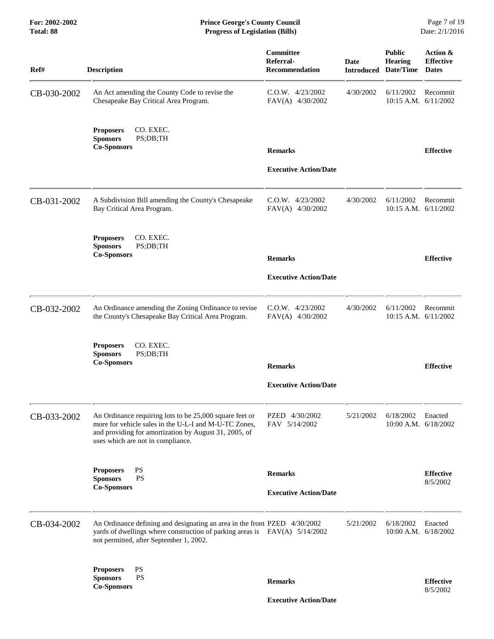| Ref#        | <b>Description</b>                                                                                                                                                                                             | Committee<br>Referral-<br><b>Recommendation</b> | <b>Date</b><br><b>Introduced</b> | <b>Public</b><br><b>Hearing</b><br>Date/Time | Action &<br><b>Effective</b><br><b>Dates</b> |
|-------------|----------------------------------------------------------------------------------------------------------------------------------------------------------------------------------------------------------------|-------------------------------------------------|----------------------------------|----------------------------------------------|----------------------------------------------|
| CB-030-2002 | An Act amending the County Code to revise the<br>Chesapeake Bay Critical Area Program.                                                                                                                         | $C.0.W.$ 4/23/2002<br>FAV(A) 4/30/2002          | 4/30/2002                        | 6/11/2002<br>10:15 A.M. 6/11/2002            | Recommit                                     |
|             | <b>Proposers</b><br>CO. EXEC.<br><b>Sponsors</b><br>PS;DB;TH<br><b>Co-Sponsors</b>                                                                                                                             | <b>Remarks</b>                                  |                                  |                                              | <b>Effective</b>                             |
|             |                                                                                                                                                                                                                | <b>Executive Action/Date</b>                    |                                  |                                              |                                              |
| CB-031-2002 | A Subdivision Bill amending the County's Chesapeake<br>Bay Critical Area Program.                                                                                                                              | $C.0.W.$ 4/23/2002<br>FAV(A) 4/30/2002          | 4/30/2002                        | 6/11/2002<br>10:15 A.M. 6/11/2002            | Recommit                                     |
|             | CO. EXEC.<br><b>Proposers</b><br><b>Sponsors</b><br>PS;DB;TH<br><b>Co-Sponsors</b>                                                                                                                             | <b>Remarks</b>                                  |                                  |                                              | <b>Effective</b>                             |
|             |                                                                                                                                                                                                                | <b>Executive Action/Date</b>                    |                                  |                                              |                                              |
| CB-032-2002 | An Ordinance amending the Zoning Ordinance to revise<br>the County's Chesapeake Bay Critical Area Program.                                                                                                     | $C.0.W.$ 4/23/2002<br>FAV(A) 4/30/2002          | 4/30/2002                        | 6/11/2002<br>10:15 A.M. 6/11/2002            | Recommit                                     |
|             | CO. EXEC.<br><b>Proposers</b><br><b>Sponsors</b><br>PS;DB;TH<br><b>Co-Sponsors</b>                                                                                                                             | <b>Remarks</b>                                  |                                  |                                              | <b>Effective</b>                             |
|             |                                                                                                                                                                                                                | <b>Executive Action/Date</b>                    |                                  |                                              |                                              |
| CB-033-2002 | An Ordinance requiring lots to be 25,000 square feet or<br>more for vehicle sales in the U-L-I and M-U-TC Zones,<br>and providing for amortization by August 31, 2005, of<br>uses which are not in compliance. | PZED 4/30/2002<br>FAV 5/14/2002                 | 5/21/2002                        | 6/18/2002<br>10:00 A.M. 6/18/2002            | Enacted                                      |
|             | PS<br><b>Proposers</b><br><b>PS</b><br><b>Sponsors</b>                                                                                                                                                         | <b>Remarks</b>                                  |                                  |                                              | <b>Effective</b>                             |
|             | <b>Co-Sponsors</b>                                                                                                                                                                                             | <b>Executive Action/Date</b>                    |                                  |                                              | 8/5/2002                                     |
| CB-034-2002 | An Ordinance defining and designating an area in the front PZED 4/30/2002<br>yards of dwellings where construction of parking areas is FAV(A) 5/14/2002<br>not permitted, after September 1, 2002.             |                                                 | 5/21/2002                        | 6/18/2002<br>$10:00$ A.M. $6/18/2002$        | Enacted                                      |
|             | <b>PS</b><br><b>Proposers</b><br>PS<br><b>Sponsors</b><br><b>Co-Sponsors</b>                                                                                                                                   | <b>Remarks</b>                                  |                                  |                                              | <b>Effective</b><br>8/5/2002                 |
|             |                                                                                                                                                                                                                | <b>Executive Action/Date</b>                    |                                  |                                              |                                              |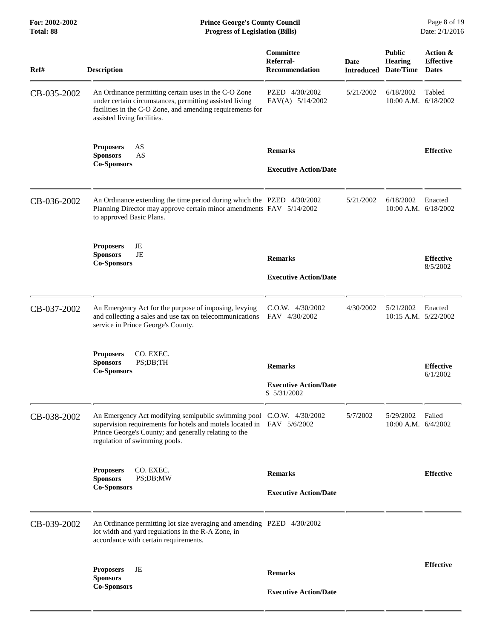| For: 2002-2002<br>Total: 88 | <b>Prince George's County Council</b><br><b>Progress of Legislation (Bills)</b>                                                                                                                                                          |                                                               |           |                                                                | Page 8 of 19<br>Date: 2/1/2016               |
|-----------------------------|------------------------------------------------------------------------------------------------------------------------------------------------------------------------------------------------------------------------------------------|---------------------------------------------------------------|-----------|----------------------------------------------------------------|----------------------------------------------|
| Ref#                        | <b>Description</b>                                                                                                                                                                                                                       | Committee<br>Referral-<br><b>Recommendation</b>               | Date      | <b>Public</b><br><b>Hearing</b><br><b>Introduced Date/Time</b> | Action &<br><b>Effective</b><br><b>Dates</b> |
| CB-035-2002                 | An Ordinance permitting certain uses in the C-O Zone<br>under certain circumstances, permitting assisted living<br>facilities in the C-O Zone, and amending requirements for<br>assisted living facilities.                              | PZED 4/30/2002<br>FAV(A) 5/14/2002                            | 5/21/2002 | 6/18/2002                                                      | Tabled<br>$10:00$ A.M. $6/18/2002$           |
|                             | AS<br><b>Proposers</b><br><b>Sponsors</b><br>AS<br><b>Co-Sponsors</b>                                                                                                                                                                    | <b>Remarks</b><br><b>Executive Action/Date</b>                |           |                                                                | <b>Effective</b>                             |
| CB-036-2002                 | An Ordinance extending the time period during which the PZED 4/30/2002<br>Planning Director may approve certain minor amendments FAV 5/14/2002<br>to approved Basic Plans.                                                               |                                                               | 5/21/2002 | 6/18/2002                                                      | Enacted<br>10:00 A.M. 6/18/2002              |
|                             | JE<br><b>Proposers</b><br><b>Sponsors</b><br>JE<br><b>Co-Sponsors</b>                                                                                                                                                                    | <b>Remarks</b><br><b>Executive Action/Date</b>                |           |                                                                | <b>Effective</b><br>8/5/2002                 |
| CB-037-2002                 | An Emergency Act for the purpose of imposing, levying<br>and collecting a sales and use tax on telecommunications<br>service in Prince George's County.                                                                                  | C.O.W. 4/30/2002<br>FAV 4/30/2002                             | 4/30/2002 | 5/21/2002                                                      | Enacted<br>$10:15$ A.M. $5/22/2002$          |
|                             | <b>Proposers</b><br>CO. EXEC.<br>PS;DB;TH<br><b>Sponsors</b><br><b>Co-Sponsors</b>                                                                                                                                                       | <b>Remarks</b><br><b>Executive Action/Date</b><br>S 5/31/2002 |           |                                                                | <b>Effective</b><br>6/1/2002                 |
| CB-038-2002                 | An Emergency Act modifying semipublic swimming pool C.O.W. 4/30/2002<br>supervision requirements for hotels and motels located in FAV 5/6/2002<br>Prince George's County; and generally relating to the<br>regulation of swimming pools. |                                                               | 5/7/2002  | 5/29/2002<br>10:00 A.M. 6/4/2002                               | Failed                                       |
|                             | <b>Proposers</b><br>CO. EXEC.<br>PS;DB;MW<br><b>Sponsors</b><br><b>Co-Sponsors</b>                                                                                                                                                       | <b>Remarks</b><br><b>Executive Action/Date</b>                |           |                                                                | <b>Effective</b>                             |
| CB-039-2002                 | An Ordinance permitting lot size averaging and amending PZED 4/30/2002<br>lot width and yard regulations in the R-A Zone, in<br>accordance with certain requirements.                                                                    |                                                               |           |                                                                |                                              |
|                             | JE<br><b>Proposers</b><br><b>Sponsors</b>                                                                                                                                                                                                | <b>Remarks</b>                                                |           |                                                                | <b>Effective</b>                             |
|                             | <b>Co-Sponsors</b>                                                                                                                                                                                                                       | <b>Executive Action/Date</b>                                  |           |                                                                |                                              |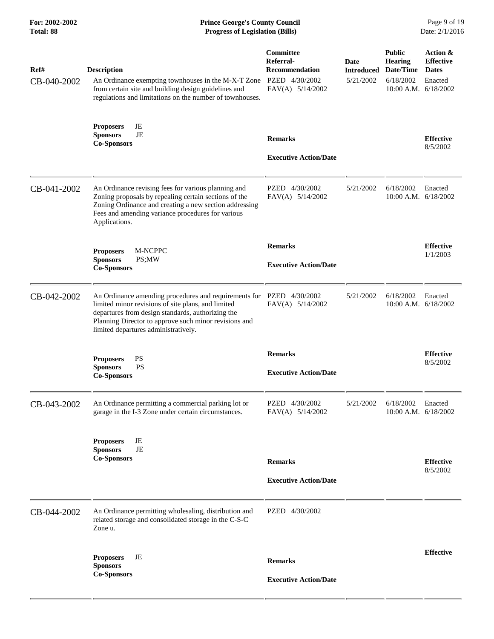| Ref#<br>CB-040-2002 | <b>Description</b><br>An Ordinance exempting townhouses in the M-X-T Zone<br>from certain site and building design guidelines and<br>regulations and limitations on the number of townhouses.                                                                     | Committee<br>Referral-<br><b>Recommendation</b><br>PZED 4/30/2002<br>FAV(A) 5/14/2002 | Date<br><b>Introduced</b><br>5/21/2002 | <b>Public</b><br><b>Hearing</b><br>Date/Time<br>6/18/2002<br>$10:00$ A.M. $6/18/2002$ | Action &<br><b>Effective</b><br><b>Dates</b><br>Enacted |
|---------------------|-------------------------------------------------------------------------------------------------------------------------------------------------------------------------------------------------------------------------------------------------------------------|---------------------------------------------------------------------------------------|----------------------------------------|---------------------------------------------------------------------------------------|---------------------------------------------------------|
|                     | <b>Proposers</b><br>JE<br>JE<br><b>Sponsors</b><br><b>Co-Sponsors</b>                                                                                                                                                                                             | <b>Remarks</b><br><b>Executive Action/Date</b>                                        |                                        |                                                                                       | <b>Effective</b><br>8/5/2002                            |
| CB-041-2002         | An Ordinance revising fees for various planning and<br>Zoning proposals by repealing certain sections of the<br>Zoning Ordinance and creating a new section addressing<br>Fees and amending variance procedures for various<br>Applications.                      | PZED 4/30/2002<br>FAV(A) 5/14/2002                                                    | 5/21/2002                              | 6/18/2002<br>10:00 A.M. 6/18/2002                                                     | Enacted                                                 |
|                     | M-NCPPC<br><b>Proposers</b><br><b>Sponsors</b><br>PS;MW<br><b>Co-Sponsors</b>                                                                                                                                                                                     | <b>Remarks</b><br><b>Executive Action/Date</b>                                        |                                        |                                                                                       | <b>Effective</b><br>1/1/2003                            |
| CB-042-2002         | An Ordinance amending procedures and requirements for<br>limited minor revisions of site plans, and limited<br>departures from design standards, authorizing the<br>Planning Director to approve such minor revisions and<br>limited departures administratively. | PZED 4/30/2002<br>FAV(A) 5/14/2002                                                    | 5/21/2002                              | 6/18/2002<br>$10:00$ A.M. $6/18/2002$                                                 | Enacted                                                 |
|                     | PS<br><b>Proposers</b><br><b>PS</b><br><b>Sponsors</b><br><b>Co-Sponsors</b>                                                                                                                                                                                      | <b>Remarks</b><br><b>Executive Action/Date</b>                                        |                                        |                                                                                       | <b>Effective</b><br>8/5/2002                            |
| CB-043-2002         | An Ordinance permitting a commercial parking lot or<br>garage in the I-3 Zone under certain circumstances.                                                                                                                                                        | PZED 4/30/2002<br>FAV(A) 5/14/2002                                                    | 5/21/2002                              | 6/18/2002<br>$10:00$ A.M. $6/18/2002$                                                 | Enacted                                                 |
|                     | <b>Proposers</b><br>JE<br>JE<br><b>Sponsors</b><br><b>Co-Sponsors</b>                                                                                                                                                                                             | <b>Remarks</b><br><b>Executive Action/Date</b>                                        |                                        |                                                                                       | <b>Effective</b><br>8/5/2002                            |
| CB-044-2002         | An Ordinance permitting wholesaling, distribution and<br>related storage and consolidated storage in the C-S-C<br>Zone u.                                                                                                                                         | PZED 4/30/2002                                                                        |                                        |                                                                                       |                                                         |
|                     | JE<br><b>Proposers</b><br><b>Sponsors</b><br><b>Co-Sponsors</b>                                                                                                                                                                                                   | <b>Remarks</b><br><b>Executive Action/Date</b>                                        |                                        |                                                                                       | <b>Effective</b>                                        |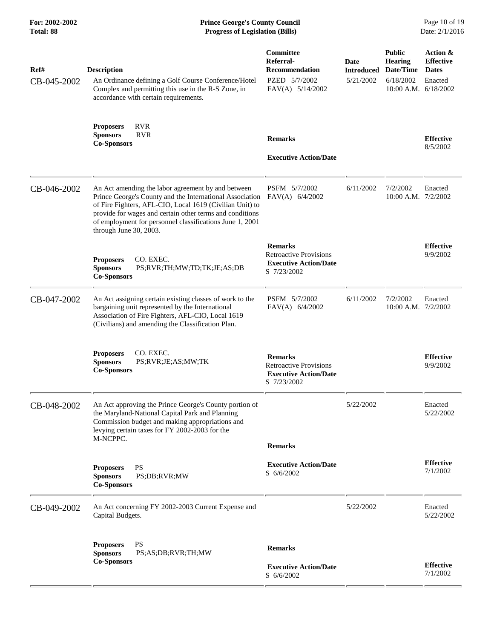| Ref#<br>CB-045-2002 | <b>Description</b><br>An Ordinance defining a Golf Course Conference/Hotel<br>Complex and permitting this use in the R-S Zone, in<br>accordance with certain requirements.                                                                                                                                                   | Committee<br>Referral-<br><b>Recommendation</b><br>PZED 5/7/2002<br>FAV(A) 5/14/2002           | Date<br><b>Introduced</b><br>5/21/2002 | <b>Public</b><br><b>Hearing</b><br>Date/Time<br>6/18/2002<br>$10:00$ A.M. $6/18/2002$ | Action &<br><b>Effective</b><br><b>Dates</b><br>Enacted |
|---------------------|------------------------------------------------------------------------------------------------------------------------------------------------------------------------------------------------------------------------------------------------------------------------------------------------------------------------------|------------------------------------------------------------------------------------------------|----------------------------------------|---------------------------------------------------------------------------------------|---------------------------------------------------------|
|                     | <b>RVR</b><br><b>Proposers</b><br><b>RVR</b><br><b>Sponsors</b><br><b>Co-Sponsors</b>                                                                                                                                                                                                                                        | <b>Remarks</b><br><b>Executive Action/Date</b>                                                 |                                        |                                                                                       | <b>Effective</b><br>8/5/2002                            |
| CB-046-2002         | An Act amending the labor agreement by and between<br>Prince George's County and the International Association<br>of Fire Fighters, AFL-CIO, Local 1619 (Civilian Unit) to<br>provide for wages and certain other terms and conditions<br>of employment for personnel classifications June 1, 2001<br>through June 30, 2003. | PSFM 5/7/2002<br>FAV(A) 6/4/2002                                                               | 6/11/2002                              | 7/2/2002<br>10:00 A.M. 7/2/2002                                                       | Enacted                                                 |
|                     | CO. EXEC.<br><b>Proposers</b><br><b>Sponsors</b><br>PS;RVR;TH;MW;TD;TK;JE;AS;DB<br><b>Co-Sponsors</b>                                                                                                                                                                                                                        | <b>Remarks</b><br><b>Retroactive Provisions</b><br><b>Executive Action/Date</b><br>S 7/23/2002 |                                        |                                                                                       | <b>Effective</b><br>9/9/2002                            |
| CB-047-2002         | An Act assigning certain existing classes of work to the<br>bargaining unit represented by the International<br>Association of Fire Fighters, AFL-CIO, Local 1619<br>(Civilians) and amending the Classification Plan.                                                                                                       | PSFM 5/7/2002<br>FAV(A) $6/4/2002$                                                             | 6/11/2002                              | 7/2/2002<br>10:00 A.M. 7/2/2002                                                       | Enacted                                                 |
|                     | CO. EXEC.<br><b>Proposers</b><br><b>Sponsors</b><br>PS;RVR;JE;AS;MW;TK<br><b>Co-Sponsors</b>                                                                                                                                                                                                                                 | <b>Remarks</b><br><b>Retroactive Provisions</b><br><b>Executive Action/Date</b><br>S 7/23/2002 |                                        |                                                                                       | <b>Effective</b><br>9/9/2002                            |
| CB-048-2002         | An Act approving the Prince George's County portion of<br>the Maryland-National Capital Park and Planning<br>Commission budget and making appropriations and<br>levying certain taxes for FY 2002-2003 for the<br>M-NCPPC.                                                                                                   |                                                                                                | 5/22/2002                              |                                                                                       | Enacted<br>5/22/2002                                    |
|                     | <b>Proposers</b><br>PS<br><b>Sponsors</b><br>PS:DB:RVR:MW<br><b>Co-Sponsors</b>                                                                                                                                                                                                                                              | <b>Remarks</b><br><b>Executive Action/Date</b><br>S 6/6/2002                                   |                                        |                                                                                       | <b>Effective</b><br>7/1/2002                            |
| CB-049-2002         | An Act concerning FY 2002-2003 Current Expense and<br>Capital Budgets.                                                                                                                                                                                                                                                       |                                                                                                | 5/22/2002                              |                                                                                       | Enacted<br>5/22/2002                                    |
|                     | <b>PS</b><br><b>Proposers</b><br><b>Sponsors</b><br>PS;AS;DB;RVR;TH;MW<br><b>Co-Sponsors</b>                                                                                                                                                                                                                                 | <b>Remarks</b><br><b>Executive Action/Date</b><br>S 6/6/2002                                   |                                        |                                                                                       | <b>Effective</b><br>7/1/2002                            |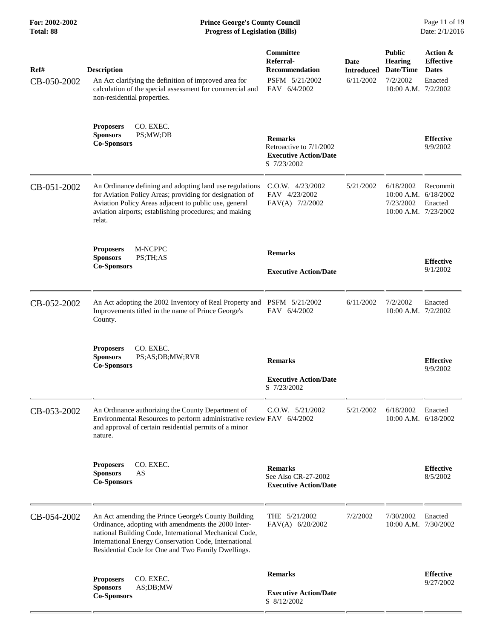### **For: 2002-2002 Prince George's County Council** Page 11 of 19<br> **Prince George's County Council** Page 11 of 19<br> **Progress of Legislation (Bills)** Date: 2/1/2016 **Total: 88 Progress of Legislation (Bills)**

| Ref#<br>CB-050-2002 | <b>Description</b><br>An Act clarifying the definition of improved area for<br>calculation of the special assessment for commercial and<br>non-residential properties.                                                                                                              | Committee<br>Referral-<br><b>Recommendation</b><br>PSFM 5/21/2002<br>FAV 6/4/2002        | Date<br><b>Introduced</b><br>6/11/2002 | <b>Public</b><br><b>Hearing</b><br>Date/Time<br>7/2/2002<br>10:00 A.M. 7/2/2002 | Action &<br><b>Effective</b><br><b>Dates</b><br>Enacted |
|---------------------|-------------------------------------------------------------------------------------------------------------------------------------------------------------------------------------------------------------------------------------------------------------------------------------|------------------------------------------------------------------------------------------|----------------------------------------|---------------------------------------------------------------------------------|---------------------------------------------------------|
|                     | CO. EXEC.<br><b>Proposers</b><br><b>Sponsors</b><br>PS;MW;DB<br><b>Co-Sponsors</b>                                                                                                                                                                                                  | <b>Remarks</b><br>Retroactive to 7/1/2002<br><b>Executive Action/Date</b><br>S 7/23/2002 |                                        |                                                                                 | <b>Effective</b><br>9/9/2002                            |
| CB-051-2002         | An Ordinance defining and adopting land use regulations<br>for Aviation Policy Areas; providing for designation of<br>Aviation Policy Areas adjacent to public use, general<br>aviation airports; establishing procedures; and making<br>relat.                                     | $C.0.W.$ 4/23/2002<br>FAV 4/23/2002<br>FAV(A) 7/2/2002                                   | 5/21/2002                              | 6/18/2002<br>$10:00$ A.M. $6/18/2002$<br>7/23/2002<br>10:00 A.M. 7/23/2002      | Recommit<br>Enacted                                     |
|                     | M-NCPPC<br><b>Proposers</b><br><b>Sponsors</b><br>PS;TH;AS<br><b>Co-Sponsors</b>                                                                                                                                                                                                    | <b>Remarks</b><br><b>Executive Action/Date</b>                                           |                                        |                                                                                 | <b>Effective</b><br>9/1/2002                            |
| CB-052-2002         | An Act adopting the 2002 Inventory of Real Property and PSFM 5/21/2002<br>Improvements titled in the name of Prince George's<br>County.                                                                                                                                             | FAV 6/4/2002                                                                             | 6/11/2002                              | 7/2/2002<br>10:00 A.M. 7/2/2002                                                 | Enacted                                                 |
|                     | CO. EXEC.<br><b>Proposers</b><br><b>Sponsors</b><br>PS;AS;DB;MW;RVR<br><b>Co-Sponsors</b>                                                                                                                                                                                           | <b>Remarks</b><br><b>Executive Action/Date</b><br>S 7/23/2002                            |                                        |                                                                                 | <b>Effective</b><br>9/9/2002                            |
| CB-053-2002         | An Ordinance authorizing the County Department of<br>Environmental Resources to perform administrative review FAV 6/4/2002<br>and approval of certain residential permits of a minor<br>nature.                                                                                     | $C.0.W.$ $5/21/2002$                                                                     | 5/21/2002                              | 6/18/2002<br>10:00 A.M. 6/18/2002                                               | Enacted                                                 |
|                     | CO. EXEC.<br><b>Proposers</b><br><b>Sponsors</b><br>AS<br><b>Co-Sponsors</b>                                                                                                                                                                                                        | <b>Remarks</b><br>See Also CR-27-2002<br><b>Executive Action/Date</b>                    |                                        |                                                                                 | <b>Effective</b><br>8/5/2002                            |
| CB-054-2002         | An Act amending the Prince George's County Building<br>Ordinance, adopting with amendments the 2000 Inter-<br>national Building Code, International Mechanical Code,<br>International Energy Conservation Code, International<br>Residential Code for One and Two Family Dwellings. | THE $5/21/2002$<br>FAV(A) 6/20/2002                                                      | 7/2/2002                               | 7/30/2002<br>10:00 A.M. 7/30/2002                                               | Enacted                                                 |
|                     | CO. EXEC.<br><b>Proposers</b><br><b>Sponsors</b><br>AS;DB;MW<br><b>Co-Sponsors</b>                                                                                                                                                                                                  | <b>Remarks</b><br><b>Executive Action/Date</b><br>S 8/12/2002                            |                                        |                                                                                 | <b>Effective</b><br>9/27/2002                           |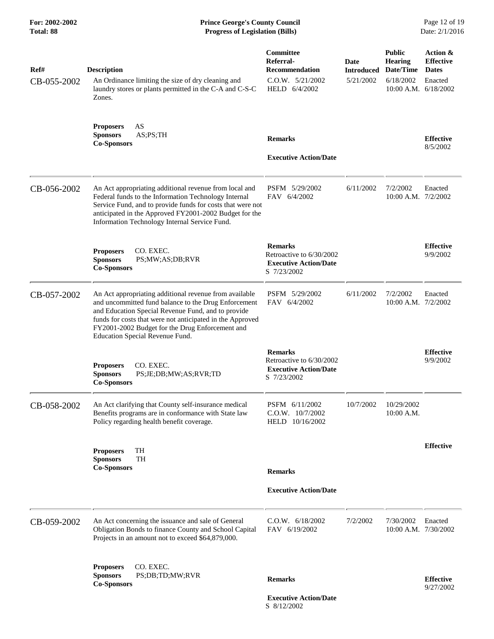## **For: 2002-2002 Prince George's County Council** Page 12 of 19<br> **Prince George's County Council** Page 12 of 19<br> **Progress of Legislation (Bills)** Date: 2/1/2016 **Total: 88 Progress of Legislation (Bills)**

| Ref#<br>CB-055-2002 | <b>Description</b><br>An Ordinance limiting the size of dry cleaning and<br>laundry stores or plants permitted in the C-A and C-S-C<br>Zones.                                                                                                                                                                           | Committee<br>Referral-<br><b>Recommendation</b><br>$C.0.W.$ $5/21/2002$<br>HELD 6/4/2002  | Date<br><b>Introduced Date/Time</b><br>5/21/2002 | <b>Public</b><br><b>Hearing</b><br>6/18/2002<br>10:00 A.M. 6/18/2002 | Action &<br><b>Effective</b><br><b>Dates</b><br>Enacted |
|---------------------|-------------------------------------------------------------------------------------------------------------------------------------------------------------------------------------------------------------------------------------------------------------------------------------------------------------------------|-------------------------------------------------------------------------------------------|--------------------------------------------------|----------------------------------------------------------------------|---------------------------------------------------------|
|                     | <b>Proposers</b><br>AS<br>AS;PS;TH<br><b>Sponsors</b><br><b>Co-Sponsors</b>                                                                                                                                                                                                                                             | <b>Remarks</b><br><b>Executive Action/Date</b>                                            |                                                  |                                                                      | <b>Effective</b><br>8/5/2002                            |
| CB-056-2002         | An Act appropriating additional revenue from local and<br>Federal funds to the Information Technology Internal<br>Service Fund, and to provide funds for costs that were not<br>anticipated in the Approved FY2001-2002 Budget for the<br>Information Technology Internal Service Fund.                                 | PSFM 5/29/2002<br>FAV 6/4/2002                                                            | 6/11/2002                                        | 7/2/2002<br>10:00 A.M. 7/2/2002                                      | Enacted                                                 |
|                     | CO. EXEC.<br><b>Proposers</b><br><b>Sponsors</b><br>PS;MW;AS;DB;RVR<br><b>Co-Sponsors</b>                                                                                                                                                                                                                               | <b>Remarks</b><br>Retroactive to 6/30/2002<br><b>Executive Action/Date</b><br>S 7/23/2002 |                                                  |                                                                      | <b>Effective</b><br>9/9/2002                            |
| CB-057-2002         | An Act appropriating additional revenue from available<br>and uncommitted fund balance to the Drug Enforcement<br>and Education Special Revenue Fund, and to provide<br>funds for costs that were not anticipated in the Approved<br>FY2001-2002 Budget for the Drug Enforcement and<br>Education Special Revenue Fund. | PSFM 5/29/2002<br>FAV 6/4/2002                                                            | 6/11/2002                                        | 7/2/2002<br>10:00 A.M. 7/2/2002                                      | Enacted                                                 |
|                     | CO. EXEC.<br><b>Proposers</b><br><b>Sponsors</b><br>PS;JE;DB;MW;AS;RVR;TD<br><b>Co-Sponsors</b>                                                                                                                                                                                                                         | <b>Remarks</b><br>Retroactive to 6/30/2002<br><b>Executive Action/Date</b><br>S 7/23/2002 |                                                  |                                                                      | <b>Effective</b><br>9/9/2002                            |
| CB-058-2002         | An Act clarifying that County self-insurance medical<br>Benefits programs are in conformance with State law<br>Policy regarding health benefit coverage.                                                                                                                                                                | PSFM 6/11/2002<br>C.O.W. 10/7/2002<br>HELD 10/16/2002                                     | 10/7/2002                                        | 10/29/2002<br>10:00 A.M.                                             |                                                         |
|                     | TH<br><b>Proposers</b><br><b>Sponsors</b><br>TH<br><b>Co-Sponsors</b>                                                                                                                                                                                                                                                   | <b>Remarks</b><br><b>Executive Action/Date</b>                                            |                                                  |                                                                      | <b>Effective</b>                                        |
|                     |                                                                                                                                                                                                                                                                                                                         |                                                                                           |                                                  |                                                                      |                                                         |
| CB-059-2002         | An Act concerning the issuance and sale of General<br>Obligation Bonds to finance County and School Capital<br>Projects in an amount not to exceed \$64,879,000.                                                                                                                                                        | C.O.W. 6/18/2002<br>FAV 6/19/2002                                                         | 7/2/2002                                         | 7/30/2002<br>10:00 A.M. 7/30/2002                                    | Enacted                                                 |
|                     | <b>Proposers</b><br>CO. EXEC.<br><b>Sponsors</b><br>PS;DB;TD;MW;RVR<br><b>Co-Sponsors</b>                                                                                                                                                                                                                               | <b>Remarks</b>                                                                            |                                                  |                                                                      | <b>Effective</b><br>9/27/2002                           |
|                     |                                                                                                                                                                                                                                                                                                                         | <b>Executive Action/Date</b><br>S 8/12/2002                                               |                                                  |                                                                      |                                                         |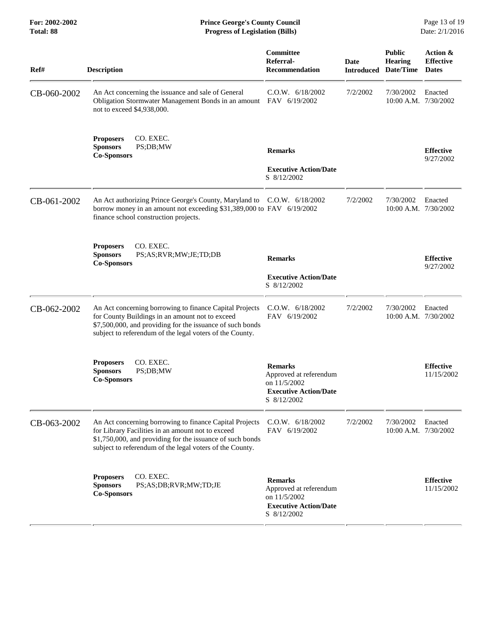| Ref#        | <b>Description</b>                                                                                                                                                                                                                    | Committee<br>Referral-<br><b>Recommendation</b>                                                         | <b>Date</b><br><b>Introduced</b> | <b>Public</b><br><b>Hearing</b><br>Date/Time | Action &<br><b>Effective</b><br><b>Dates</b> |
|-------------|---------------------------------------------------------------------------------------------------------------------------------------------------------------------------------------------------------------------------------------|---------------------------------------------------------------------------------------------------------|----------------------------------|----------------------------------------------|----------------------------------------------|
| CB-060-2002 | An Act concerning the issuance and sale of General<br>Obligation Stormwater Management Bonds in an amount FAV 6/19/2002<br>not to exceed \$4,938,000.                                                                                 | C.O.W. 6/18/2002                                                                                        | 7/2/2002                         | 7/30/2002<br>10:00 A.M. 7/30/2002            | Enacted                                      |
|             | CO. EXEC.<br><b>Proposers</b><br><b>Sponsors</b><br>PS;DB;MW<br><b>Co-Sponsors</b>                                                                                                                                                    | <b>Remarks</b><br><b>Executive Action/Date</b><br>S 8/12/2002                                           |                                  |                                              | <b>Effective</b><br>9/27/2002                |
| CB-061-2002 | An Act authorizing Prince George's County, Maryland to C.O.W. 6/18/2002<br>borrow money in an amount not exceeding \$31,389,000 to FAV 6/19/2002<br>finance school construction projects.                                             |                                                                                                         | 7/2/2002                         | 7/30/2002<br>10:00 A.M. 7/30/2002            | Enacted                                      |
|             | CO. EXEC.<br><b>Proposers</b><br><b>Sponsors</b><br>PS;AS;RVR;MW;JE;TD;DB<br><b>Co-Sponsors</b>                                                                                                                                       | <b>Remarks</b><br><b>Executive Action/Date</b><br>S 8/12/2002                                           |                                  |                                              | <b>Effective</b><br>9/27/2002                |
| CB-062-2002 | An Act concerning borrowing to finance Capital Projects<br>for County Buildings in an amount not to exceed<br>\$7,500,000, and providing for the issuance of such bonds<br>subject to referendum of the legal voters of the County.   | C.O.W. 6/18/2002<br>FAV 6/19/2002                                                                       | 7/2/2002                         | 7/30/2002<br>10:00 A.M. 7/30/2002            | Enacted                                      |
|             | CO. EXEC.<br><b>Proposers</b><br><b>Sponsors</b><br>PS;DB;MW<br><b>Co-Sponsors</b>                                                                                                                                                    | <b>Remarks</b><br>Approved at referendum<br>on 11/5/2002<br><b>Executive Action/Date</b><br>S 8/12/2002 |                                  |                                              | <b>Effective</b><br>11/15/2002               |
| CB-063-2002 | An Act concerning borrowing to finance Capital Projects<br>for Library Facilities in an amount not to exceed<br>\$1,750,000, and providing for the issuance of such bonds<br>subject to referendum of the legal voters of the County. | C.O.W. 6/18/2002<br>FAV 6/19/2002                                                                       | 7/2/2002                         | 7/30/2002<br>10:00 A.M. 7/30/2002            | Enacted                                      |
|             | CO. EXEC.<br><b>Proposers</b><br><b>Sponsors</b><br>PS;AS;DB;RVR;MW;TD;JE<br><b>Co-Sponsors</b>                                                                                                                                       | <b>Remarks</b><br>Approved at referendum<br>on 11/5/2002<br><b>Executive Action/Date</b><br>S 8/12/2002 |                                  |                                              | <b>Effective</b><br>11/15/2002               |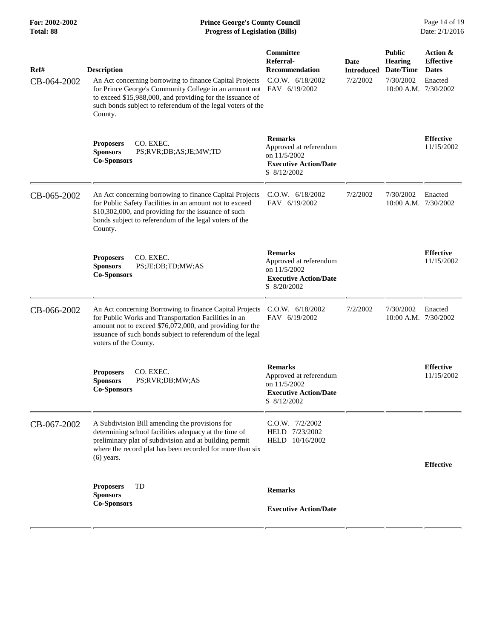| For: 2002-2002<br><b>Total: 88</b> | <b>Prince George's County Council</b><br><b>Progress of Legislation (Bills)</b>                                                                                                                                                                                                              |                                                                                                         |                                              | Page 14 of 19<br>Date: 2/1/2016                                                   |                                                         |  |
|------------------------------------|----------------------------------------------------------------------------------------------------------------------------------------------------------------------------------------------------------------------------------------------------------------------------------------------|---------------------------------------------------------------------------------------------------------|----------------------------------------------|-----------------------------------------------------------------------------------|---------------------------------------------------------|--|
| Ref#<br>CB-064-2002                | <b>Description</b><br>An Act concerning borrowing to finance Capital Projects<br>for Prince George's Community College in an amount not FAV 6/19/2002<br>to exceed \$15,988,000, and providing for the issuance of<br>such bonds subject to referendum of the legal voters of the<br>County. | Committee<br>Referral-<br><b>Recommendation</b><br>C.O.W. 6/18/2002                                     | <b>Date</b><br><b>Introduced</b><br>7/2/2002 | <b>Public</b><br><b>Hearing</b><br>Date/Time<br>7/30/2002<br>10:00 A.M. 7/30/2002 | Action &<br><b>Effective</b><br><b>Dates</b><br>Enacted |  |
|                                    | <b>Proposers</b><br>CO. EXEC.<br><b>Sponsors</b><br>PS;RVR;DB;AS;JE;MW;TD<br><b>Co-Sponsors</b>                                                                                                                                                                                              | <b>Remarks</b><br>Approved at referendum<br>on 11/5/2002<br><b>Executive Action/Date</b><br>S 8/12/2002 |                                              |                                                                                   | <b>Effective</b><br>11/15/2002                          |  |
| CB-065-2002                        | An Act concerning borrowing to finance Capital Projects<br>for Public Safety Facilities in an amount not to exceed<br>\$10,302,000, and providing for the issuance of such<br>bonds subject to referendum of the legal voters of the<br>County.                                              | C.O.W. 6/18/2002<br>FAV 6/19/2002                                                                       | 7/2/2002                                     | 7/30/2002<br>10:00 A.M. 7/30/2002                                                 | Enacted                                                 |  |
|                                    | CO. EXEC.<br><b>Proposers</b><br><b>Sponsors</b><br>PS;JE;DB;TD;MW;AS<br><b>Co-Sponsors</b>                                                                                                                                                                                                  | <b>Remarks</b><br>Approved at referendum<br>on 11/5/2002<br><b>Executive Action/Date</b><br>S 8/20/2002 |                                              |                                                                                   | <b>Effective</b><br>11/15/2002                          |  |
| CB-066-2002                        | An Act concerning Borrowing to finance Capital Projects<br>for Public Works and Transportation Facilities in an<br>amount not to exceed \$76,072,000, and providing for the<br>issuance of such bonds subject to referendum of the legal<br>voters of the County.                            | C.O.W. 6/18/2002<br>FAV 6/19/2002                                                                       | 7/2/2002                                     | 7/30/2002<br>10:00 A.M. 7/30/2002                                                 | Enacted                                                 |  |
|                                    | CO. EXEC.<br><b>Proposers</b><br>Sponsors<br>PS;RVR;DB;MW;AS<br><b>Co-Sponsors</b>                                                                                                                                                                                                           | <b>Remarks</b><br>Approved at referendum<br>on 11/5/2002<br><b>Executive Action/Date</b><br>S 8/12/2002 |                                              |                                                                                   | <b>Effective</b><br>11/15/2002                          |  |
| CB-067-2002                        | A Subdivision Bill amending the provisions for<br>determining school facilities adequacy at the time of<br>preliminary plat of subdivision and at building permit<br>where the record plat has been recorded for more than six<br>$(6)$ years.                                               | $C.0.W.$ $7/2/2002$<br>HELD 7/23/2002<br>HELD 10/16/2002                                                |                                              |                                                                                   | <b>Effective</b>                                        |  |
|                                    | TD<br><b>Proposers</b><br><b>Sponsors</b><br><b>Co-Sponsors</b>                                                                                                                                                                                                                              | <b>Remarks</b><br><b>Executive Action/Date</b>                                                          |                                              |                                                                                   |                                                         |  |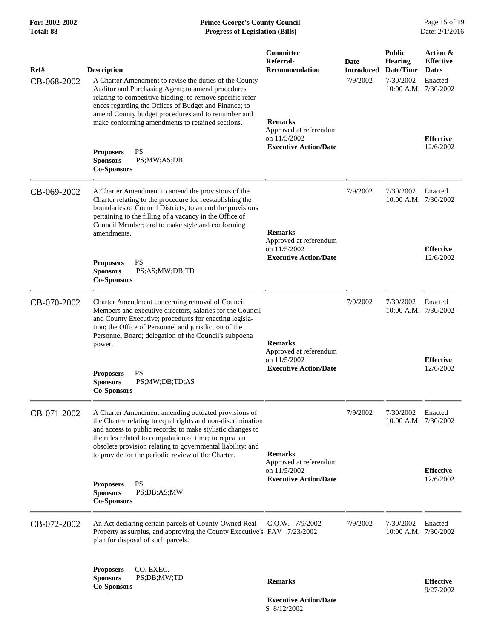## **For: 2002-2002 Prince George's County Council** Page 15 of 19 **Total: 88 Progress of Legislation (Bills)** Date: 2/1/2016

| Ref#        | <b>Description</b>                                                                                                                                                                                                                                                                                                                                                            | <b>Committee</b><br>Referral-<br><b>Recommendation</b>                                   | Date<br><b>Introduced</b> | <b>Public</b><br><b>Hearing</b><br>Date/Time | Action &<br><b>Effective</b><br><b>Dates</b> |
|-------------|-------------------------------------------------------------------------------------------------------------------------------------------------------------------------------------------------------------------------------------------------------------------------------------------------------------------------------------------------------------------------------|------------------------------------------------------------------------------------------|---------------------------|----------------------------------------------|----------------------------------------------|
| CB-068-2002 | A Charter Amendment to revise the duties of the County<br>Auditor and Purchasing Agent; to amend procedures<br>relating to competitive bidding; to remove specific refer-<br>ences regarding the Offices of Budget and Finance; to<br>amend County budget procedures and to renumber and<br>make conforming amendments to retained sections.<br><b>PS</b><br><b>Proposers</b> | <b>Remarks</b><br>Approved at referendum<br>on 11/5/2002<br><b>Executive Action/Date</b> | 7/9/2002                  | 7/30/2002<br>10:00 A.M. 7/30/2002            | Enacted<br><b>Effective</b><br>12/6/2002     |
|             | <b>Sponsors</b><br>PS;MW;AS;DB<br><b>Co-Sponsors</b>                                                                                                                                                                                                                                                                                                                          |                                                                                          |                           |                                              |                                              |
| CB-069-2002 | A Charter Amendment to amend the provisions of the<br>Charter relating to the procedure for reestablishing the<br>boundaries of Council Districts; to amend the provisions<br>pertaining to the filling of a vacancy in the Office of<br>Council Member; and to make style and conforming<br>amendments.                                                                      | <b>Remarks</b><br>Approved at referendum<br>on 11/5/2002<br><b>Executive Action/Date</b> | 7/9/2002                  | 7/30/2002<br>10:00 A.M. 7/30/2002            | Enacted                                      |
|             | <b>PS</b><br><b>Proposers</b><br><b>Sponsors</b><br>PS;AS;MW;DB;TD<br><b>Co-Sponsors</b>                                                                                                                                                                                                                                                                                      |                                                                                          |                           |                                              | <b>Effective</b><br>12/6/2002                |
| CB-070-2002 | Charter Amendment concerning removal of Council<br>Members and executive directors, salaries for the Council<br>and County Executive; procedures for enacting legisla-<br>tion; the Office of Personnel and jurisdiction of the<br>Personnel Board; delegation of the Council's subpoena<br>power.                                                                            | <b>Remarks</b><br>Approved at referendum<br>on 11/5/2002<br><b>Executive Action/Date</b> | 7/9/2002                  | 7/30/2002<br>10:00 A.M. 7/30/2002            | Enacted<br><b>Effective</b>                  |
|             | <b>PS</b><br><b>Proposers</b><br><b>Sponsors</b><br>PS;MW;DB;TD;AS<br><b>Co-Sponsors</b>                                                                                                                                                                                                                                                                                      |                                                                                          |                           |                                              | 12/6/2002                                    |
| CB-071-2002 | A Charter Amendment amending outdated provisions of<br>the Charter relating to equal rights and non-discrimination<br>and access to public records; to make stylistic changes to<br>the rules related to computation of time; to repeal an<br>obsolete provision relating to governmental liability; and<br>to provide for the periodic review of the Charter.                | <b>Remarks</b><br>Approved at referendum                                                 | 7/9/2002                  | 7/30/2002<br>$10:00$ A.M. $7/30/2002$        | Enacted                                      |
|             | <b>PS</b><br><b>Proposers</b><br><b>Sponsors</b><br>PS;DB;AS;MW<br><b>Co-Sponsors</b>                                                                                                                                                                                                                                                                                         | on 11/5/2002<br><b>Executive Action/Date</b>                                             |                           |                                              | <b>Effective</b><br>12/6/2002                |
| CB-072-2002 | An Act declaring certain parcels of County-Owned Real<br>Property as surplus, and approving the County Executive's FAV 7/23/2002<br>plan for disposal of such parcels.                                                                                                                                                                                                        | $C.0.W.$ $7/9/2002$                                                                      | 7/9/2002                  | 7/30/2002<br>10:00 A.M. 7/30/2002            | Enacted                                      |
|             | CO. EXEC.<br><b>Proposers</b><br><b>Sponsors</b><br>PS;DB;MW;TD<br><b>Co-Sponsors</b>                                                                                                                                                                                                                                                                                         | <b>Remarks</b>                                                                           |                           |                                              | <b>Effective</b><br>9/27/2002                |
|             |                                                                                                                                                                                                                                                                                                                                                                               | <b>Executive Action/Date</b><br>S 8/12/2002                                              |                           |                                              |                                              |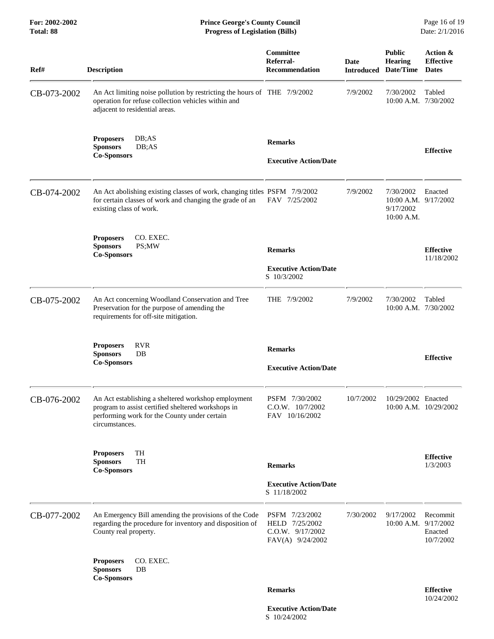**For: 2002-2002 Prince George's County Council** Page 16 of 19<br> **Prince George's County Council** Page 16 of 19<br> **Progress of Legislation (Bills)** Date: 2/1/2016  $$ 

| Ref#        | <b>Description</b>                                                                                                                                                          | Committee<br>Referral-<br><b>Recommendation</b>                          | <b>Date</b> | <b>Public</b><br><b>Hearing</b><br><b>Introduced Date/Time</b>   | Action &<br><b>Effective</b><br><b>Dates</b> |
|-------------|-----------------------------------------------------------------------------------------------------------------------------------------------------------------------------|--------------------------------------------------------------------------|-------------|------------------------------------------------------------------|----------------------------------------------|
| CB-073-2002 | An Act limiting noise pollution by restricting the hours of THE 7/9/2002<br>operation for refuse collection vehicles within and<br>adjacent to residential areas.           |                                                                          | 7/9/2002    | 7/30/2002<br>10:00 A.M. 7/30/2002                                | Tabled                                       |
|             | <b>Proposers</b><br>DB; AS<br>DB;AS<br><b>Sponsors</b><br><b>Co-Sponsors</b>                                                                                                | <b>Remarks</b><br><b>Executive Action/Date</b>                           |             |                                                                  | <b>Effective</b>                             |
| CB-074-2002 | An Act abolishing existing classes of work, changing titles PSFM 7/9/2002<br>for certain classes of work and changing the grade of an<br>existing class of work.            | FAV 7/25/2002                                                            | 7/9/2002    | 7/30/2002<br>$10:00$ A.M. $9/17/2002$<br>9/17/2002<br>10:00 A.M. | Enacted                                      |
|             | CO. EXEC.<br><b>Proposers</b><br>PS;MW<br><b>Sponsors</b><br><b>Co-Sponsors</b>                                                                                             | <b>Remarks</b><br><b>Executive Action/Date</b><br>S 10/3/2002            |             |                                                                  | <b>Effective</b><br>11/18/2002               |
| CB-075-2002 | An Act concerning Woodland Conservation and Tree<br>Preservation for the purpose of amending the<br>requirements for off-site mitigation.                                   | THE 7/9/2002                                                             | 7/9/2002    | 7/30/2002<br>10:00 A.M. 7/30/2002                                | Tabled                                       |
|             | <b>RVR</b><br><b>Proposers</b><br><b>Sponsors</b><br>DB<br><b>Co-Sponsors</b>                                                                                               | <b>Remarks</b><br><b>Executive Action/Date</b>                           |             |                                                                  | <b>Effective</b>                             |
| CB-076-2002 | An Act establishing a sheltered workshop employment<br>program to assist certified sheltered workshops in<br>performing work for the County under certain<br>circumstances. | PSFM 7/30/2002<br>C.O.W. 10/7/2002<br>FAV 10/16/2002                     | 10/7/2002   | 10/29/2002 Enacted                                               | 10:00 A.M. 10/29/2002                        |
|             | TH<br><b>Proposers</b><br><b>TH</b><br><b>Sponsors</b><br><b>Co-Sponsors</b>                                                                                                | <b>Remarks</b><br><b>Executive Action/Date</b><br>S 11/18/2002           |             |                                                                  | <b>Effective</b><br>1/3/2003                 |
| CB-077-2002 | An Emergency Bill amending the provisions of the Code<br>regarding the procedure for inventory and disposition of<br>County real property.                                  | PSFM 7/23/2002<br>HELD 7/25/2002<br>C.O.W. 9/17/2002<br>FAV(A) 9/24/2002 | 7/30/2002   | 9/17/2002<br>10:00 A.M. 9/17/2002                                | Recommit<br>Enacted<br>10/7/2002             |
|             | CO. EXEC.<br><b>Proposers</b><br><b>Sponsors</b><br>$DB$<br><b>Co-Sponsors</b>                                                                                              |                                                                          |             |                                                                  |                                              |
|             |                                                                                                                                                                             | <b>Remarks</b>                                                           |             |                                                                  | <b>Effective</b><br>10/24/2002               |

 **Executive Action/Date** S 10/24/2002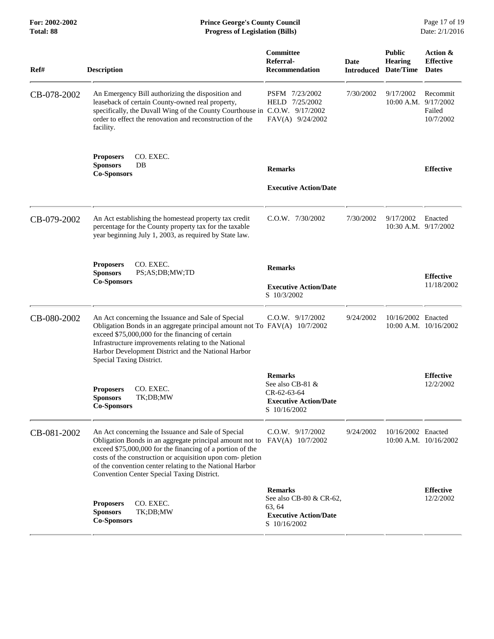#### **For: 2002-2002 Prince George's County Council** Page 17 of 19<br> **Prince George's County Council** Page 17 of 19<br> **Progress of Legislation (Bills)** Date: 2/1/2016 **Total: 88 Progress of Legislation (Bills)**

| Ref#        | <b>Description</b>                                                                                                                                                                                                                                                                                                                                 | Committee<br>Referral-<br><b>Recommendation</b>                                                     | Date<br>Introduced | <b>Public</b><br><b>Hearing</b><br>Date/Time | Action &<br><b>Effective</b><br><b>Dates</b> |
|-------------|----------------------------------------------------------------------------------------------------------------------------------------------------------------------------------------------------------------------------------------------------------------------------------------------------------------------------------------------------|-----------------------------------------------------------------------------------------------------|--------------------|----------------------------------------------|----------------------------------------------|
| CB-078-2002 | An Emergency Bill authorizing the disposition and<br>leaseback of certain County-owned real property,<br>specifically, the Duvall Wing of the County Courthouse in C.O.W. 9/17/2002<br>order to effect the renovation and reconstruction of the<br>facility.                                                                                       | PSFM 7/23/2002<br>HELD 7/25/2002<br>FAV(A) 9/24/2002                                                | 7/30/2002          | 9/17/2002<br>10:00 A.M.                      | Recommit<br>9/17/2002<br>Failed<br>10/7/2002 |
|             | CO. EXEC.<br><b>Proposers</b><br><b>Sponsors</b><br>DB<br><b>Co-Sponsors</b>                                                                                                                                                                                                                                                                       | <b>Remarks</b><br><b>Executive Action/Date</b>                                                      |                    |                                              | <b>Effective</b>                             |
| CB-079-2002 | An Act establishing the homestead property tax credit<br>percentage for the County property tax for the taxable<br>year beginning July 1, 2003, as required by State law.                                                                                                                                                                          | $C.0.W.$ $7/30/2002$                                                                                | 7/30/2002          | 9/17/2002<br>10:30 A.M. 9/17/2002            | Enacted                                      |
|             | CO. EXEC.<br><b>Proposers</b><br>PS;AS;DB;MW;TD<br><b>Sponsors</b><br><b>Co-Sponsors</b>                                                                                                                                                                                                                                                           | <b>Remarks</b><br><b>Executive Action/Date</b><br>S 10/3/2002                                       |                    |                                              | <b>Effective</b><br>11/18/2002               |
| CB-080-2002 | An Act concerning the Issuance and Sale of Special<br>Obligation Bonds in an aggregate principal amount not To FAV(A) 10/7/2002<br>exceed \$75,000,000 for the financing of certain<br>Infrastructure improvements relating to the National<br>Harbor Development District and the National Harbor<br>Special Taxing District.                     | C.O.W. 9/17/2002                                                                                    | 9/24/2002          | 10/16/2002 Enacted                           | $10:00$ A.M. $10/16/2002$                    |
|             | CO. EXEC.<br><b>Proposers</b><br><b>Sponsors</b><br>TK;DB;MW<br><b>Co-Sponsors</b>                                                                                                                                                                                                                                                                 | <b>Remarks</b><br>See also CB-81 &<br>CR-62-63-64<br><b>Executive Action/Date</b><br>S 10/16/2002   |                    |                                              | <b>Effective</b><br>12/2/2002                |
| CB-081-2002 | An Act concerning the Issuance and Sale of Special<br>Obligation Bonds in an aggregate principal amount not to<br>exceed \$75,000,000 for the financing of a portion of the<br>costs of the construction or acquisition upon com-pletion<br>of the convention center relating to the National Harbor<br>Convention Center Special Taxing District. | $C.0.W.$ 9/17/2002<br>FAV(A) 10/7/2002                                                              | 9/24/2002          | 10/16/2002 Enacted                           | $10:00$ A.M. $10/16/2002$                    |
|             | CO. EXEC.<br><b>Proposers</b><br><b>Sponsors</b><br>TK;DB;MW<br><b>Co-Sponsors</b>                                                                                                                                                                                                                                                                 | <b>Remarks</b><br>See also CB-80 & CR-62,<br>63, 64<br><b>Executive Action/Date</b><br>S 10/16/2002 |                    |                                              | <b>Effective</b><br>12/2/2002                |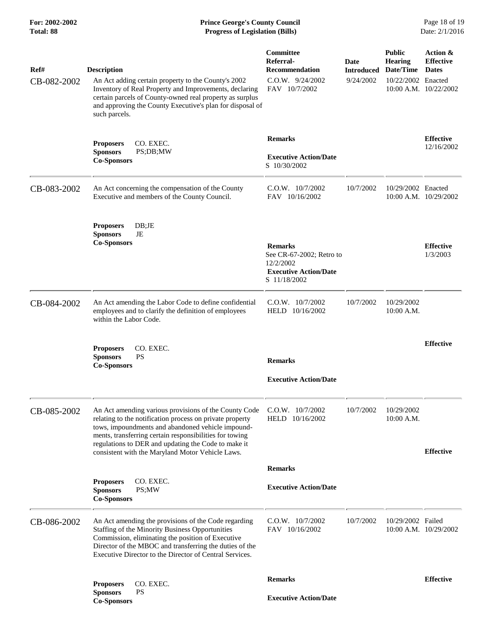#### **For: 2002-2002 Prince George's County Council** Page 18 of 19<br> **Prince George's County Council** Page 18 of 19<br> **Progress of Legislation (Bills)** Date: 2/1/2016 **Total: 88 Progress of Legislation (Bills)**

| Ref#<br>CB-082-2002 | <b>Description</b><br>An Act adding certain property to the County's 2002<br>Inventory of Real Property and Improvements, declaring<br>certain parcels of County-owned real property as surplus<br>and approving the County Executive's plan for disposal of<br>such parcels.                                                                | Committee<br>Referral-<br><b>Recommendation</b><br>C.O.W. 9/24/2002<br>FAV 10/7/2002                    | Date<br><b>Introduced</b><br>9/24/2002 | <b>Public</b><br><b>Hearing</b><br>Date/Time<br>10/22/2002 Enacted<br>10:00 A.M. 10/22/2002 | Action &<br><b>Effective</b><br><b>Dates</b> |
|---------------------|----------------------------------------------------------------------------------------------------------------------------------------------------------------------------------------------------------------------------------------------------------------------------------------------------------------------------------------------|---------------------------------------------------------------------------------------------------------|----------------------------------------|---------------------------------------------------------------------------------------------|----------------------------------------------|
|                     | CO. EXEC.<br><b>Proposers</b><br><b>Sponsors</b><br>PS;DB;MW<br><b>Co-Sponsors</b>                                                                                                                                                                                                                                                           | <b>Remarks</b><br><b>Executive Action/Date</b><br>S 10/30/2002                                          |                                        |                                                                                             | <b>Effective</b><br>12/16/2002               |
| CB-083-2002         | An Act concerning the compensation of the County<br>Executive and members of the County Council.                                                                                                                                                                                                                                             | $C.O.W.$ 10/7/2002<br>FAV 10/16/2002                                                                    | 10/7/2002                              | 10/29/2002 Enacted<br>10:00 A.M. 10/29/2002                                                 |                                              |
|                     | DB;JE<br><b>Proposers</b><br><b>Sponsors</b><br>JE<br><b>Co-Sponsors</b>                                                                                                                                                                                                                                                                     | <b>Remarks</b><br>See CR-67-2002; Retro to<br>12/2/2002<br><b>Executive Action/Date</b><br>S 11/18/2002 |                                        |                                                                                             | <b>Effective</b><br>1/3/2003                 |
| CB-084-2002         | An Act amending the Labor Code to define confidential<br>employees and to clarify the definition of employees<br>within the Labor Code.                                                                                                                                                                                                      | C.O.W. 10/7/2002<br>HELD 10/16/2002                                                                     | 10/7/2002                              | 10/29/2002<br>10:00 A.M.                                                                    |                                              |
|                     | CO. EXEC.<br><b>Proposers</b><br><b>Sponsors</b><br><b>PS</b><br><b>Co-Sponsors</b>                                                                                                                                                                                                                                                          | <b>Remarks</b><br><b>Executive Action/Date</b>                                                          |                                        |                                                                                             | <b>Effective</b>                             |
| CB-085-2002         | An Act amending various provisions of the County Code<br>relating to the notification process on private property<br>tows, impoundments and abandoned vehicle impound-<br>ments, transferring certain responsibilities for towing<br>regulations to DER and updating the Code to make it<br>consistent with the Maryland Motor Vehicle Laws. | C.O.W. 10/7/2002<br>HELD 10/16/2002                                                                     | 10/7/2002                              | 10/29/2002<br>10:00 A.M.                                                                    | <b>Effective</b>                             |
|                     |                                                                                                                                                                                                                                                                                                                                              | <b>Remarks</b>                                                                                          |                                        |                                                                                             |                                              |
|                     | CO. EXEC.<br><b>Proposers</b><br><b>Sponsors</b><br>PS;MW<br><b>Co-Sponsors</b>                                                                                                                                                                                                                                                              | <b>Executive Action/Date</b>                                                                            |                                        |                                                                                             |                                              |
| CB-086-2002         | An Act amending the provisions of the Code regarding<br>Staffing of the Minority Business Opportunities<br>Commission, eliminating the position of Executive<br>Director of the MBOC and transferring the duties of the<br>Executive Director to the Director of Central Services.                                                           | $C.0.W.$ $10/7/2002$<br>FAV 10/16/2002                                                                  | 10/7/2002                              | 10/29/2002 Failed<br>10:00 A.M. 10/29/2002                                                  |                                              |
|                     | CO. EXEC.<br><b>Proposers</b>                                                                                                                                                                                                                                                                                                                | <b>Remarks</b>                                                                                          |                                        |                                                                                             | <b>Effective</b>                             |
|                     | <b>PS</b><br><b>Sponsors</b><br><b>Co-Sponsors</b>                                                                                                                                                                                                                                                                                           | <b>Executive Action/Date</b>                                                                            |                                        |                                                                                             |                                              |